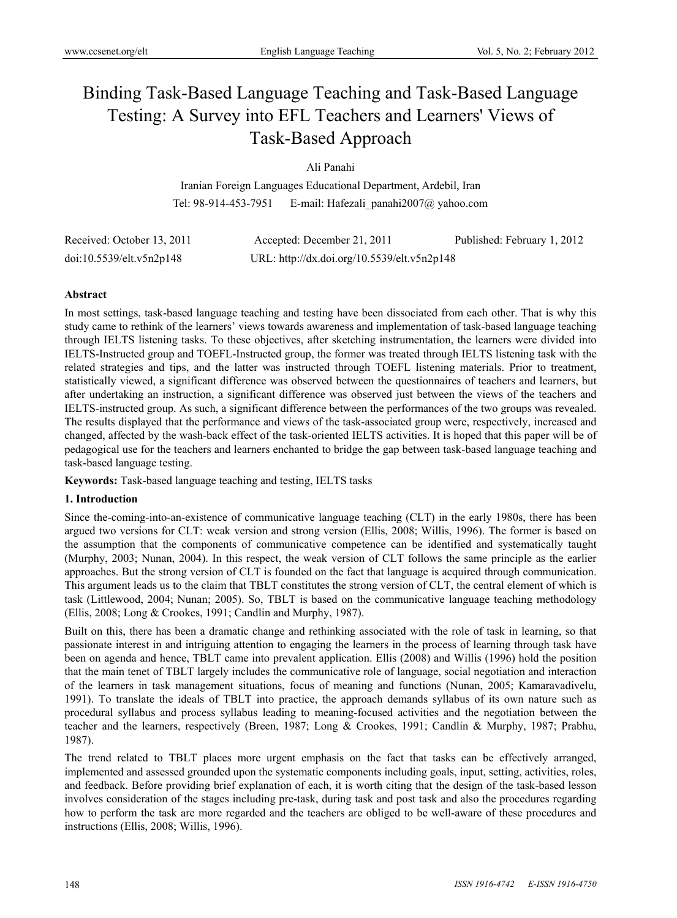# Binding Task-Based Language Teaching and Task-Based Language Testing: A Survey into EFL Teachers and Learners' Views of Task-Based Approach

# Ali Panahi

Iranian Foreign Languages Educational Department, Ardebil, Iran Tel: 98-914-453-7951 E-mail: Hafezali\_panahi2007@ yahoo.com

| Received: October 13, 2011 | Accepted: December 21, 2011                 | Published: February 1, 2012 |
|----------------------------|---------------------------------------------|-----------------------------|
| doi:10.5539/elt.v5n2p148   | URL: http://dx.doi.org/10.5539/elt.v5n2p148 |                             |

## **Abstract**

In most settings, task-based language teaching and testing have been dissociated from each other. That is why this study came to rethink of the learners' views towards awareness and implementation of task-based language teaching through IELTS listening tasks. To these objectives, after sketching instrumentation, the learners were divided into IELTS-Instructed group and TOEFL-Instructed group, the former was treated through IELTS listening task with the related strategies and tips, and the latter was instructed through TOEFL listening materials. Prior to treatment, statistically viewed, a significant difference was observed between the questionnaires of teachers and learners, but after undertaking an instruction, a significant difference was observed just between the views of the teachers and IELTS-instructed group. As such, a significant difference between the performances of the two groups was revealed. The results displayed that the performance and views of the task-associated group were, respectively, increased and changed, affected by the wash-back effect of the task-oriented IELTS activities. It is hoped that this paper will be of pedagogical use for the teachers and learners enchanted to bridge the gap between task-based language teaching and task-based language testing.

**Keywords:** Task-based language teaching and testing, IELTS tasks

## **1. Introduction**

Since the-coming-into-an-existence of communicative language teaching (CLT) in the early 1980s, there has been argued two versions for CLT: weak version and strong version (Ellis, 2008; Willis, 1996). The former is based on the assumption that the components of communicative competence can be identified and systematically taught (Murphy, 2003; Nunan, 2004). In this respect, the weak version of CLT follows the same principle as the earlier approaches. But the strong version of CLT is founded on the fact that language is acquired through communication. This argument leads us to the claim that TBLT constitutes the strong version of CLT, the central element of which is task (Littlewood, 2004; Nunan; 2005). So, TBLT is based on the communicative language teaching methodology (Ellis, 2008; Long & Crookes, 1991; Candlin and Murphy, 1987).

Built on this, there has been a dramatic change and rethinking associated with the role of task in learning, so that passionate interest in and intriguing attention to engaging the learners in the process of learning through task have been on agenda and hence, TBLT came into prevalent application. Ellis (2008) and Willis (1996) hold the position that the main tenet of TBLT largely includes the communicative role of language, social negotiation and interaction of the learners in task management situations, focus of meaning and functions (Nunan, 2005; Kamaravadivelu, 1991). To translate the ideals of TBLT into practice, the approach demands syllabus of its own nature such as procedural syllabus and process syllabus leading to meaning-focused activities and the negotiation between the teacher and the learners, respectively (Breen, 1987; Long & Crookes, 1991; Candlin & Murphy, 1987; Prabhu, 1987).

The trend related to TBLT places more urgent emphasis on the fact that tasks can be effectively arranged, implemented and assessed grounded upon the systematic components including goals, input, setting, activities, roles, and feedback. Before providing brief explanation of each, it is worth citing that the design of the task-based lesson involves consideration of the stages including pre-task, during task and post task and also the procedures regarding how to perform the task are more regarded and the teachers are obliged to be well-aware of these procedures and instructions (Ellis, 2008; Willis, 1996).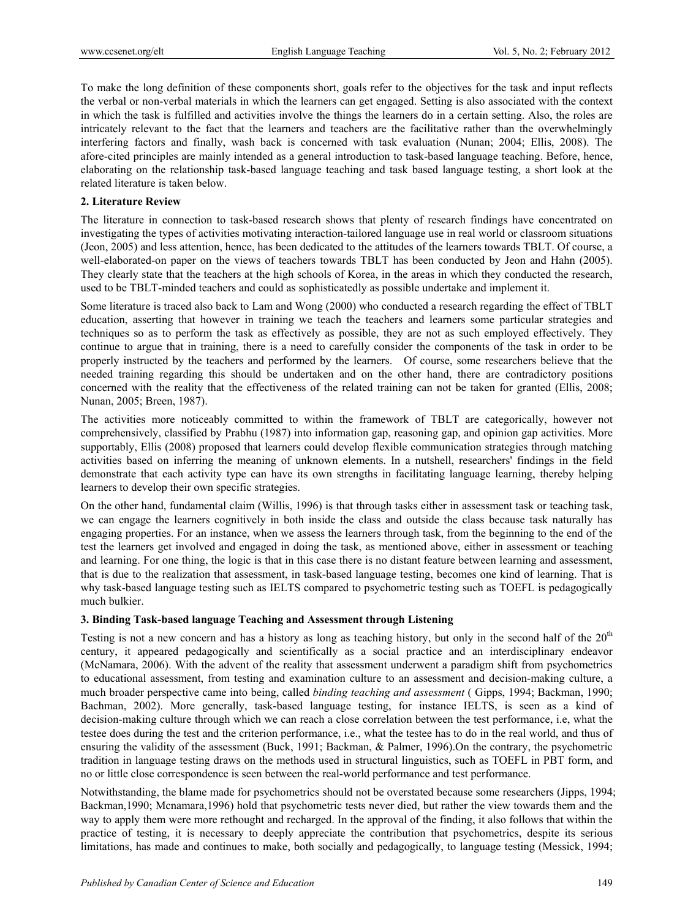To make the long definition of these components short, goals refer to the objectives for the task and input reflects the verbal or non-verbal materials in which the learners can get engaged. Setting is also associated with the context in which the task is fulfilled and activities involve the things the learners do in a certain setting. Also, the roles are intricately relevant to the fact that the learners and teachers are the facilitative rather than the overwhelmingly interfering factors and finally, wash back is concerned with task evaluation (Nunan; 2004; Ellis, 2008). The afore-cited principles are mainly intended as a general introduction to task-based language teaching. Before, hence, elaborating on the relationship task-based language teaching and task based language testing, a short look at the related literature is taken below.

#### **2. Literature Review**

The literature in connection to task-based research shows that plenty of research findings have concentrated on investigating the types of activities motivating interaction-tailored language use in real world or classroom situations (Jeon, 2005) and less attention, hence, has been dedicated to the attitudes of the learners towards TBLT. Of course, a well-elaborated-on paper on the views of teachers towards TBLT has been conducted by Jeon and Hahn (2005). They clearly state that the teachers at the high schools of Korea, in the areas in which they conducted the research, used to be TBLT-minded teachers and could as sophisticatedly as possible undertake and implement it.

Some literature is traced also back to Lam and Wong (2000) who conducted a research regarding the effect of TBLT education, asserting that however in training we teach the teachers and learners some particular strategies and techniques so as to perform the task as effectively as possible, they are not as such employed effectively. They continue to argue that in training, there is a need to carefully consider the components of the task in order to be properly instructed by the teachers and performed by the learners. Of course, some researchers believe that the needed training regarding this should be undertaken and on the other hand, there are contradictory positions concerned with the reality that the effectiveness of the related training can not be taken for granted (Ellis, 2008; Nunan, 2005; Breen, 1987).

The activities more noticeably committed to within the framework of TBLT are categorically, however not comprehensively, classified by Prabhu (1987) into information gap, reasoning gap, and opinion gap activities. More supportably, Ellis (2008) proposed that learners could develop flexible communication strategies through matching activities based on inferring the meaning of unknown elements. In a nutshell, researchers' findings in the field demonstrate that each activity type can have its own strengths in facilitating language learning, thereby helping learners to develop their own specific strategies.

On the other hand, fundamental claim (Willis, 1996) is that through tasks either in assessment task or teaching task, we can engage the learners cognitively in both inside the class and outside the class because task naturally has engaging properties. For an instance, when we assess the learners through task, from the beginning to the end of the test the learners get involved and engaged in doing the task, as mentioned above, either in assessment or teaching and learning. For one thing, the logic is that in this case there is no distant feature between learning and assessment, that is due to the realization that assessment, in task-based language testing, becomes one kind of learning. That is why task-based language testing such as IELTS compared to psychometric testing such as TOEFL is pedagogically much bulkier.

#### **3. Binding Task-based language Teaching and Assessment through Listening**

Testing is not a new concern and has a history as long as teaching history, but only in the second half of the  $20<sup>th</sup>$ century, it appeared pedagogically and scientifically as a social practice and an interdisciplinary endeavor (McNamara, 2006). With the advent of the reality that assessment underwent a paradigm shift from psychometrics to educational assessment, from testing and examination culture to an assessment and decision-making culture, a much broader perspective came into being, called *binding teaching and assessment* ( Gipps, 1994; Backman, 1990; Bachman, 2002). More generally, task-based language testing, for instance IELTS, is seen as a kind of decision-making culture through which we can reach a close correlation between the test performance, i.e, what the testee does during the test and the criterion performance, i.e., what the testee has to do in the real world, and thus of ensuring the validity of the assessment (Buck, 1991; Backman, & Palmer, 1996).On the contrary, the psychometric tradition in language testing draws on the methods used in structural linguistics, such as TOEFL in PBT form, and no or little close correspondence is seen between the real-world performance and test performance.

Notwithstanding, the blame made for psychometrics should not be overstated because some researchers (Jipps, 1994; Backman,1990; Mcnamara,1996) hold that psychometric tests never died, but rather the view towards them and the way to apply them were more rethought and recharged. In the approval of the finding, it also follows that within the practice of testing, it is necessary to deeply appreciate the contribution that psychometrics, despite its serious limitations, has made and continues to make, both socially and pedagogically, to language testing (Messick, 1994;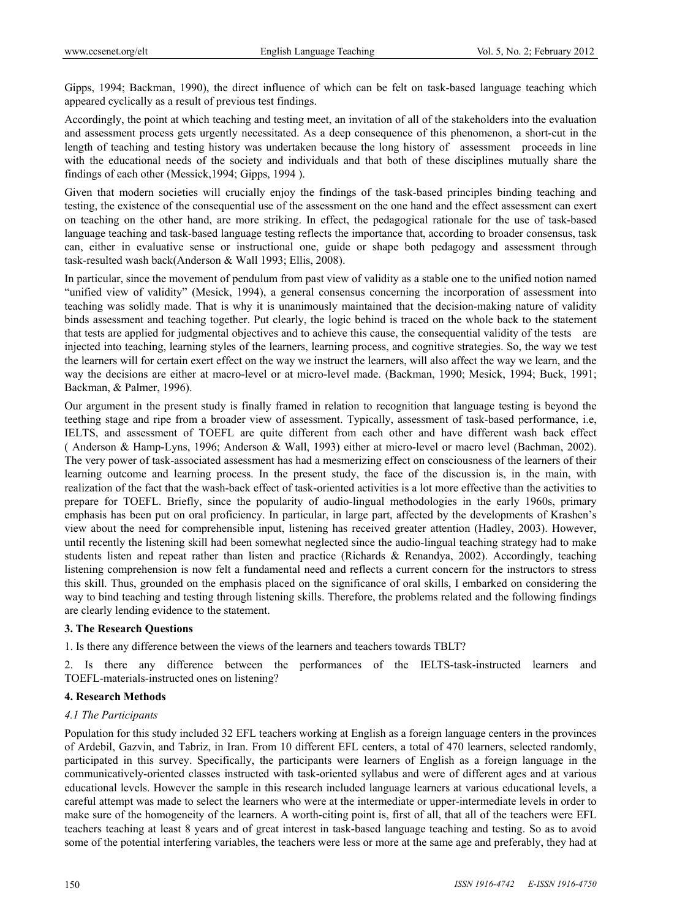Gipps, 1994; Backman, 1990), the direct influence of which can be felt on task-based language teaching which appeared cyclically as a result of previous test findings.

Accordingly, the point at which teaching and testing meet, an invitation of all of the stakeholders into the evaluation and assessment process gets urgently necessitated. As a deep consequence of this phenomenon, a short-cut in the length of teaching and testing history was undertaken because the long history of assessment proceeds in line with the educational needs of the society and individuals and that both of these disciplines mutually share the findings of each other (Messick,1994; Gipps, 1994 ).

Given that modern societies will crucially enjoy the findings of the task-based principles binding teaching and testing, the existence of the consequential use of the assessment on the one hand and the effect assessment can exert on teaching on the other hand, are more striking. In effect, the pedagogical rationale for the use of task-based language teaching and task-based language testing reflects the importance that, according to broader consensus, task can, either in evaluative sense or instructional one, guide or shape both pedagogy and assessment through task-resulted wash back(Anderson & Wall 1993; Ellis, 2008).

In particular, since the movement of pendulum from past view of validity as a stable one to the unified notion named "unified view of validity" (Mesick, 1994), a general consensus concerning the incorporation of assessment into teaching was solidly made. That is why it is unanimously maintained that the decision-making nature of validity binds assessment and teaching together. Put clearly, the logic behind is traced on the whole back to the statement that tests are applied for judgmental objectives and to achieve this cause, the consequential validity of the tests are injected into teaching, learning styles of the learners, learning process, and cognitive strategies. So, the way we test the learners will for certain exert effect on the way we instruct the learners, will also affect the way we learn, and the way the decisions are either at macro-level or at micro-level made. (Backman, 1990; Mesick, 1994; Buck, 1991; Backman, & Palmer, 1996).

Our argument in the present study is finally framed in relation to recognition that language testing is beyond the teething stage and ripe from a broader view of assessment. Typically, assessment of task-based performance, i.e, IELTS, and assessment of TOEFL are quite different from each other and have different wash back effect ( Anderson & Hamp-Lyns, 1996; Anderson & Wall, 1993) either at micro-level or macro level (Bachman, 2002). The very power of task-associated assessment has had a mesmerizing effect on consciousness of the learners of their learning outcome and learning process. In the present study, the face of the discussion is, in the main, with realization of the fact that the wash-back effect of task-oriented activities is a lot more effective than the activities to prepare for TOEFL. Briefly, since the popularity of audio-lingual methodologies in the early 1960s, primary emphasis has been put on oral proficiency. In particular, in large part, affected by the developments of Krashen's view about the need for comprehensible input, listening has received greater attention (Hadley, 2003). However, until recently the listening skill had been somewhat neglected since the audio-lingual teaching strategy had to make students listen and repeat rather than listen and practice (Richards & Renandya, 2002). Accordingly, teaching listening comprehension is now felt a fundamental need and reflects a current concern for the instructors to stress this skill. Thus, grounded on the emphasis placed on the significance of oral skills, I embarked on considering the way to bind teaching and testing through listening skills. Therefore, the problems related and the following findings are clearly lending evidence to the statement.

## **3. The Research Questions**

1. Is there any difference between the views of the learners and teachers towards TBLT?

2. Is there any difference between the performances of the IELTS-task-instructed learners and TOEFL-materials-instructed ones on listening?

#### **4. Research Methods**

#### *4.1 The Participants*

Population for this study included 32 EFL teachers working at English as a foreign language centers in the provinces of Ardebil, Gazvin, and Tabriz, in Iran. From 10 different EFL centers, a total of 470 learners, selected randomly, participated in this survey. Specifically, the participants were learners of English as a foreign language in the communicatively-oriented classes instructed with task-oriented syllabus and were of different ages and at various educational levels. However the sample in this research included language learners at various educational levels, a careful attempt was made to select the learners who were at the intermediate or upper-intermediate levels in order to make sure of the homogeneity of the learners. A worth-citing point is, first of all, that all of the teachers were EFL teachers teaching at least 8 years and of great interest in task-based language teaching and testing. So as to avoid some of the potential interfering variables, the teachers were less or more at the same age and preferably, they had at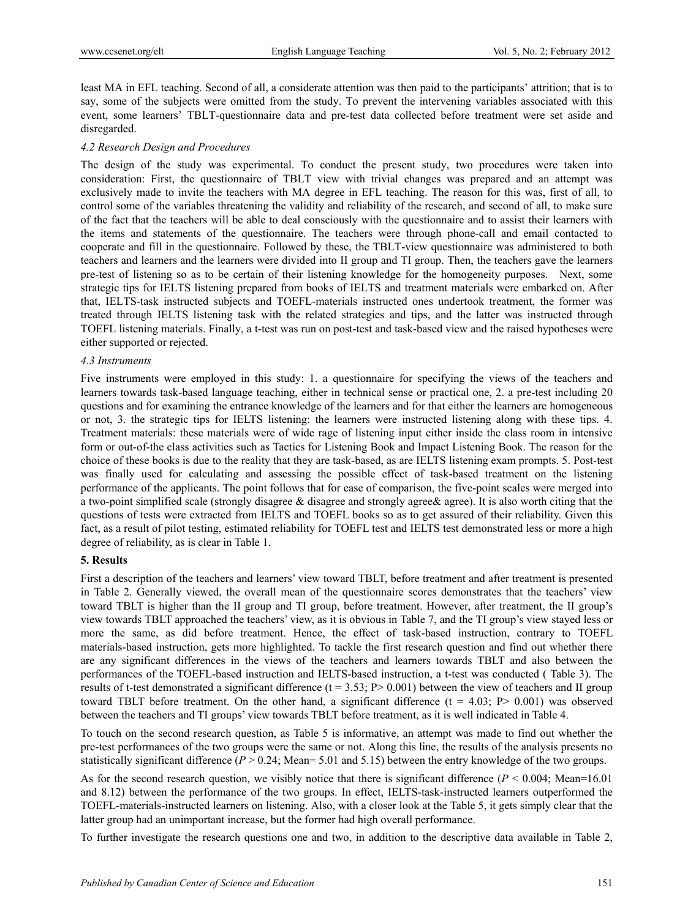least MA in EFL teaching. Second of all, a considerate attention was then paid to the participants' attrition; that is to say, some of the subjects were omitted from the study. To prevent the intervening variables associated with this event, some learners' TBLT-questionnaire data and pre-test data collected before treatment were set aside and disregarded.

## *4.2 Research Design and Procedures*

The design of the study was experimental. To conduct the present study, two procedures were taken into consideration: First, the questionnaire of TBLT view with trivial changes was prepared and an attempt was exclusively made to invite the teachers with MA degree in EFL teaching. The reason for this was, first of all, to control some of the variables threatening the validity and reliability of the research, and second of all, to make sure of the fact that the teachers will be able to deal consciously with the questionnaire and to assist their learners with the items and statements of the questionnaire. The teachers were through phone-call and email contacted to cooperate and fill in the questionnaire. Followed by these, the TBLT-view questionnaire was administered to both teachers and learners and the learners were divided into II group and TI group. Then, the teachers gave the learners pre-test of listening so as to be certain of their listening knowledge for the homogeneity purposes. Next, some strategic tips for IELTS listening prepared from books of IELTS and treatment materials were embarked on. After that, IELTS-task instructed subjects and TOEFL-materials instructed ones undertook treatment, the former was treated through IELTS listening task with the related strategies and tips, and the latter was instructed through TOEFL listening materials. Finally, a t-test was run on post-test and task-based view and the raised hypotheses were either supported or rejected.

## *4.3 Instruments*

Five instruments were employed in this study: 1. a questionnaire for specifying the views of the teachers and learners towards task-based language teaching, either in technical sense or practical one, 2. a pre-test including 20 questions and for examining the entrance knowledge of the learners and for that either the learners are homogeneous or not, 3. the strategic tips for IELTS listening: the learners were instructed listening along with these tips. 4. Treatment materials: these materials were of wide rage of listening input either inside the class room in intensive form or out-of-the class activities such as Tactics for Listening Book and Impact Listening Book. The reason for the choice of these books is due to the reality that they are task-based, as are IELTS listening exam prompts. 5. Post-test was finally used for calculating and assessing the possible effect of task-based treatment on the listening performance of the applicants. The point follows that for ease of comparison, the five-point scales were merged into a two-point simplified scale (strongly disagree  $\&$  disagree and strongly agree  $\&$  agree). It is also worth citing that the questions of tests were extracted from IELTS and TOEFL books so as to get assured of their reliability. Given this fact, as a result of pilot testing, estimated reliability for TOEFL test and IELTS test demonstrated less or more a high degree of reliability, as is clear in Table 1.

## **5. Results**

First a description of the teachers and learners' view toward TBLT, before treatment and after treatment is presented in Table 2. Generally viewed, the overall mean of the questionnaire scores demonstrates that the teachers' view toward TBLT is higher than the II group and TI group, before treatment. However, after treatment, the II group's view towards TBLT approached the teachers' view, as it is obvious in Table 7, and the TI group's view stayed less or more the same, as did before treatment. Hence, the effect of task-based instruction, contrary to TOEFL materials-based instruction, gets more highlighted. To tackle the first research question and find out whether there are any significant differences in the views of the teachers and learners towards TBLT and also between the performances of the TOEFL-based instruction and IELTS-based instruction, a t-test was conducted ( Table 3). The results of t-test demonstrated a significant difference  $(t = 3.53; P > 0.001)$  between the view of teachers and II group toward TBLT before treatment. On the other hand, a significant difference  $(t = 4.03; P > 0.001)$  was observed between the teachers and TI groups' view towards TBLT before treatment, as it is well indicated in Table 4.

To touch on the second research question, as Table 5 is informative, an attempt was made to find out whether the pre-test performances of the two groups were the same or not. Along this line, the results of the analysis presents no statistically significant difference  $(P > 0.24$ ; Mean= 5.01 and 5.15) between the entry knowledge of the two groups.

As for the second research question, we visibly notice that there is significant difference  $(P \le 0.004; \text{Mean}=16.01)$ and 8.12) between the performance of the two groups. In effect, IELTS-task-instructed learners outperformed the TOEFL-materials-instructed learners on listening. Also, with a closer look at the Table 5, it gets simply clear that the latter group had an unimportant increase, but the former had high overall performance.

To further investigate the research questions one and two, in addition to the descriptive data available in Table 2,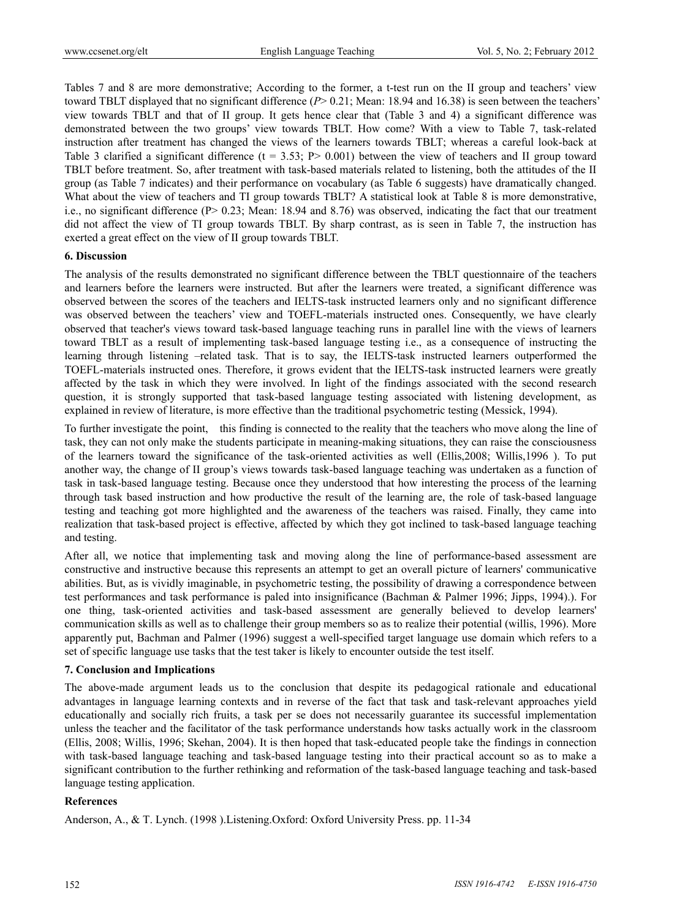Tables 7 and 8 are more demonstrative; According to the former, a t-test run on the II group and teachers' view toward TBLT displayed that no significant difference (*P*> 0.21; Mean: 18.94 and 16.38) is seen between the teachers' view towards TBLT and that of II group. It gets hence clear that (Table 3 and 4) a significant difference was demonstrated between the two groups' view towards TBLT. How come? With a view to Table 7, task-related instruction after treatment has changed the views of the learners towards TBLT; whereas a careful look-back at Table 3 clarified a significant difference ( $t = 3.53$ ; P $> 0.001$ ) between the view of teachers and II group toward TBLT before treatment. So, after treatment with task-based materials related to listening, both the attitudes of the II group (as Table 7 indicates) and their performance on vocabulary (as Table 6 suggests) have dramatically changed. What about the view of teachers and TI group towards TBLT? A statistical look at Table 8 is more demonstrative, i.e., no significant difference (P> 0.23; Mean: 18.94 and 8.76) was observed, indicating the fact that our treatment did not affect the view of TI group towards TBLT. By sharp contrast, as is seen in Table 7, the instruction has exerted a great effect on the view of II group towards TBLT.

#### **6. Discussion**

The analysis of the results demonstrated no significant difference between the TBLT questionnaire of the teachers and learners before the learners were instructed. But after the learners were treated, a significant difference was observed between the scores of the teachers and IELTS-task instructed learners only and no significant difference was observed between the teachers' view and TOEFL-materials instructed ones. Consequently, we have clearly observed that teacher's views toward task-based language teaching runs in parallel line with the views of learners toward TBLT as a result of implementing task-based language testing i.e., as a consequence of instructing the learning through listening –related task. That is to say, the IELTS-task instructed learners outperformed the TOEFL-materials instructed ones. Therefore, it grows evident that the IELTS-task instructed learners were greatly affected by the task in which they were involved. In light of the findings associated with the second research question, it is strongly supported that task-based language testing associated with listening development, as explained in review of literature, is more effective than the traditional psychometric testing (Messick, 1994).

To further investigate the point, this finding is connected to the reality that the teachers who move along the line of task, they can not only make the students participate in meaning-making situations, they can raise the consciousness of the learners toward the significance of the task-oriented activities as well (Ellis,2008; Willis,1996 ). To put another way, the change of II group's views towards task-based language teaching was undertaken as a function of task in task-based language testing. Because once they understood that how interesting the process of the learning through task based instruction and how productive the result of the learning are, the role of task-based language testing and teaching got more highlighted and the awareness of the teachers was raised. Finally, they came into realization that task-based project is effective, affected by which they got inclined to task-based language teaching and testing.

After all, we notice that implementing task and moving along the line of performance-based assessment are constructive and instructive because this represents an attempt to get an overall picture of learners' communicative abilities. But, as is vividly imaginable, in psychometric testing, the possibility of drawing a correspondence between test performances and task performance is paled into insignificance (Bachman & Palmer 1996; Jipps, 1994).). For one thing, task-oriented activities and task-based assessment are generally believed to develop learners' communication skills as well as to challenge their group members so as to realize their potential (willis, 1996). More apparently put, Bachman and Palmer (1996) suggest a well-specified target language use domain which refers to a set of specific language use tasks that the test taker is likely to encounter outside the test itself.

#### **7. Conclusion and Implications**

The above-made argument leads us to the conclusion that despite its pedagogical rationale and educational advantages in language learning contexts and in reverse of the fact that task and task-relevant approaches yield educationally and socially rich fruits, a task per se does not necessarily guarantee its successful implementation unless the teacher and the facilitator of the task performance understands how tasks actually work in the classroom (Ellis, 2008; Willis, 1996; Skehan, 2004). It is then hoped that task-educated people take the findings in connection with task-based language teaching and task-based language testing into their practical account so as to make a significant contribution to the further rethinking and reformation of the task-based language teaching and task-based language testing application.

#### **References**

Anderson, A., & T. Lynch. (1998 ).Listening.Oxford: Oxford University Press. pp. 11-34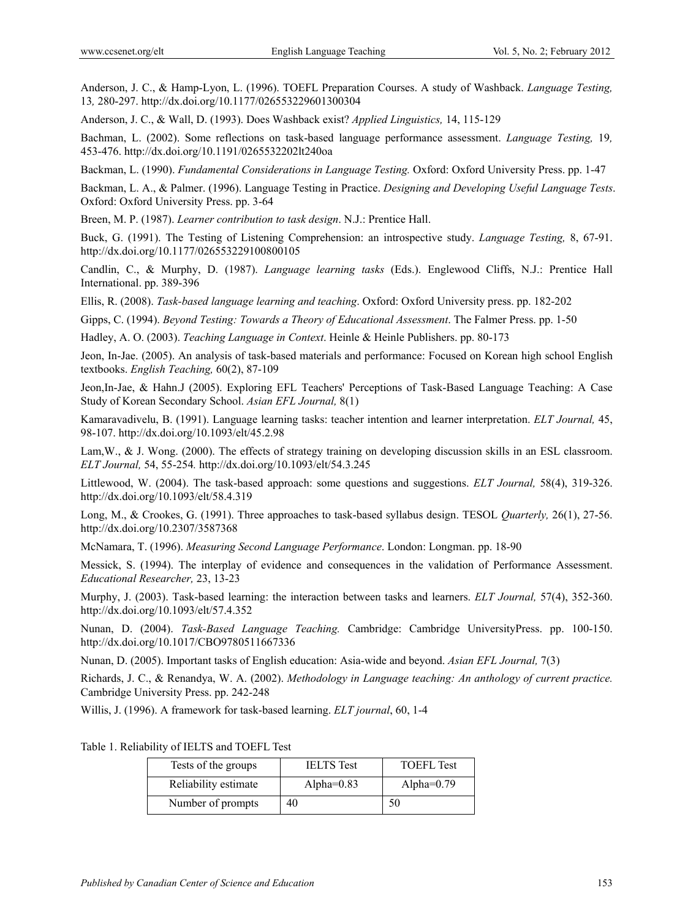Anderson, J. C., & Hamp-Lyon, L. (1996). TOEFL Preparation Courses. A study of Washback. *Language Testing,*  13*,* 280-297. http://dx.doi.org/10.1177/026553229601300304

Anderson, J. C., & Wall, D. (1993). Does Washback exist? *Applied Linguistics,* 14, 115-129

Bachman, L. (2002). Some reflections on task-based language performance assessment. *Language Testing,* 19*,* 453-476. http://dx.doi.org/10.1191/0265532202lt240oa

Backman, L. (1990). *Fundamental Considerations in Language Testing.* Oxford: Oxford University Press. pp. 1-47

Backman, L. A., & Palmer. (1996). Language Testing in Practice. *Designing and Developing Useful Language Tests*. Oxford: Oxford University Press. pp. 3-64

Breen, M. P. (1987). *Learner contribution to task design*. N.J.: Prentice Hall.

Buck, G. (1991). The Testing of Listening Comprehension: an introspective study. *Language Testing,* 8, 67-91. http://dx.doi.org/10.1177/026553229100800105

Candlin, C., & Murphy, D. (1987). *Language learning tasks* (Eds.). Englewood Cliffs, N.J.: Prentice Hall International. pp. 389-396

Ellis, R. (2008). *Task-based language learning and teaching*. Oxford: Oxford University press. pp. 182-202

Gipps, C. (1994). *Beyond Testing: Towards a Theory of Educational Assessment*. The Falmer Press. pp. 1-50

Hadley, A. O. (2003). *Teaching Language in Context*. Heinle & Heinle Publishers. pp. 80-173

Jeon, In-Jae. (2005). An analysis of task-based materials and performance: Focused on Korean high school English textbooks. *English Teaching,* 60(2), 87-109

Jeon,In-Jae, & Hahn.J (2005). Exploring EFL Teachers' Perceptions of Task-Based Language Teaching: A Case Study of Korean Secondary School. *Asian EFL Journal,* 8(1)

Kamaravadivelu, B. (1991). Language learning tasks: teacher intention and learner interpretation. *ELT Journal,* 45, 98-107. http://dx.doi.org/10.1093/elt/45.2.98

Lam,W., & J. Wong. (2000). The effects of strategy training on developing discussion skills in an ESL classroom. *ELT Journal,* 54, 55-254*.* http://dx.doi.org/10.1093/elt/54.3.245

Littlewood, W. (2004). The task-based approach: some questions and suggestions. *ELT Journal,* 58(4), 319-326. http://dx.doi.org/10.1093/elt/58.4.319

Long, M., & Crookes, G. (1991). Three approaches to task-based syllabus design. TESOL *Quarterly,* 26(1), 27-56. http://dx.doi.org/10.2307/3587368

McNamara, T. (1996). *Measuring Second Language Performance*. London: Longman. pp. 18-90

Messick, S. (1994). The interplay of evidence and consequences in the validation of Performance Assessment. *Educational Researcher,* 23, 13-23

Murphy, J. (2003). Task-based learning: the interaction between tasks and learners. *ELT Journal,* 57(4), 352-360. http://dx.doi.org/10.1093/elt/57.4.352

Nunan, D. (2004). *Task-Based Language Teaching.* Cambridge: Cambridge UniversityPress. pp. 100-150. http://dx.doi.org/10.1017/CBO9780511667336

Nunan, D. (2005). Important tasks of English education: Asia-wide and beyond. *Asian EFL Journal,* 7(3)

Richards, J. C., & Renandya, W. A. (2002). *Methodology in Language teaching: An anthology of current practice.*  Cambridge University Press. pp. 242-248

Willis, J. (1996). A framework for task-based learning. *ELT journal*, 60, 1-4

Table 1. Reliability of IELTS and TOEFL Test

| Tests of the groups  | <b>IELTS</b> Test | <b>TOEFL Test</b> |
|----------------------|-------------------|-------------------|
| Reliability estimate | Alpha= $0.83$     | Alpha= $0.79$     |
| Number of prompts    | 40                | 50                |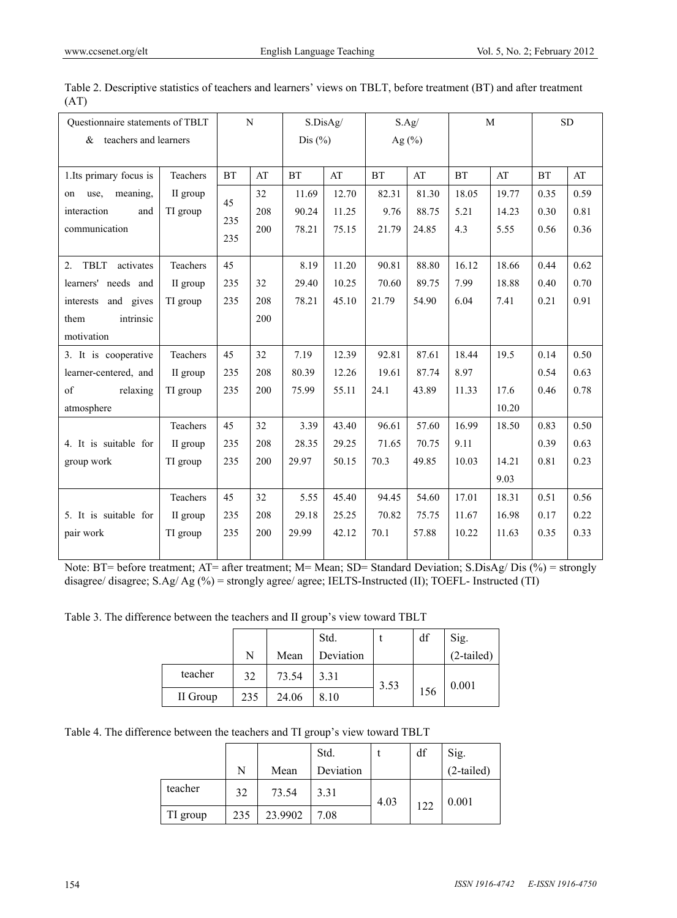| Questionnaire statements of TBLT |          |           | N   | S.DisAg/    |       |            | S.Ag/ |           | M     | <b>SD</b> |      |
|----------------------------------|----------|-----------|-----|-------------|-------|------------|-------|-----------|-------|-----------|------|
| $&$ teachers and learners        |          |           |     | Dis $(\% )$ |       | Ag $(\% )$ |       |           |       |           |      |
|                                  |          |           |     |             |       |            |       |           |       |           |      |
| 1.Its primary focus is           | Teachers | <b>BT</b> | AT  | <b>BT</b>   | AT    | <b>BT</b>  | AT    | <b>BT</b> | AT    | <b>BT</b> | AT   |
| meaning,<br>use,<br>on           | II group | 45        | 32  | 11.69       | 12.70 | 82.31      | 81.30 | 18.05     | 19.77 | 0.35      | 0.59 |
| interaction<br>and               | TI group | 235       | 208 | 90.24       | 11.25 | 9.76       | 88.75 | 5.21      | 14.23 | 0.30      | 0.81 |
| communication                    |          | 235       | 200 | 78.21       | 75.15 | 21.79      | 24.85 | 4.3       | 5.55  | 0.56      | 0.36 |
|                                  |          |           |     |             |       |            |       |           |       |           |      |
| TBLT activates<br>2.             | Teachers | 45        |     | 8.19        | 11.20 | 90.81      | 88.80 | 16.12     | 18.66 | 0.44      | 0.62 |
| learners' needs and              | II group | 235       | 32  | 29.40       | 10.25 | 70.60      | 89.75 | 7.99      | 18.88 | 0.40      | 0.70 |
| and gives<br>interests           | TI group | 235       | 208 | 78.21       | 45.10 | 21.79      | 54.90 | 6.04      | 7.41  | 0.21      | 0.91 |
| them<br>intrinsic                |          |           | 200 |             |       |            |       |           |       |           |      |
| motivation                       |          |           |     |             |       |            |       |           |       |           |      |
| 3. It is cooperative             | Teachers | 45        | 32  | 7.19        | 12.39 | 92.81      | 87.61 | 18.44     | 19.5  | 0.14      | 0.50 |
| learner-centered, and            | II group | 235       | 208 | 80.39       | 12.26 | 19.61      | 87.74 | 8.97      |       | 0.54      | 0.63 |
| of<br>relaxing                   | TI group | 235       | 200 | 75.99       | 55.11 | 24.1       | 43.89 | 11.33     | 17.6  | 0.46      | 0.78 |
| atmosphere                       |          |           |     |             |       |            |       |           | 10.20 |           |      |
|                                  | Teachers | 45        | 32  | 3.39        | 43.40 | 96.61      | 57.60 | 16.99     | 18.50 | 0.83      | 0.50 |
| 4. It is suitable for            | II group | 235       | 208 | 28.35       | 29.25 | 71.65      | 70.75 | 9.11      |       | 0.39      | 0.63 |
| group work                       | TI group | 235       | 200 | 29.97       | 50.15 | 70.3       | 49.85 | 10.03     | 14.21 | 0.81      | 0.23 |
|                                  |          |           |     |             |       |            |       |           | 9.03  |           |      |
|                                  | Teachers | 45        | 32  | 5.55        | 45.40 | 94.45      | 54.60 | 17.01     | 18.31 | 0.51      | 0.56 |
| 5. It is suitable for            | II group | 235       | 208 | 29.18       | 25.25 | 70.82      | 75.75 | 11.67     | 16.98 | 0.17      | 0.22 |
| pair work                        | TI group | 235       | 200 | 29.99       | 42.12 | 70.1       | 57.88 | 10.22     | 11.63 | 0.35      | 0.33 |
|                                  |          |           |     |             |       |            |       |           |       |           |      |

Table 2. Descriptive statistics of teachers and learners' views on TBLT, before treatment (BT) and after treatment (AT)

Note: BT= before treatment; AT= after treatment; M= Mean; SD= Standard Deviation; S.DisAg/ Dis (%) = strongly disagree/ disagree; S.Ag/ Ag (%) = strongly agree/ agree; IELTS-Instructed (II); TOEFL- Instructed (TI)

Table 3. The difference between the teachers and II group's view toward TBLT

|          |     |       | Std.      |      | df  | Sig.         |
|----------|-----|-------|-----------|------|-----|--------------|
|          | N   | Mean  | Deviation |      |     | $(2-tailed)$ |
| teacher  | 32  | 73.54 | 3.31      | 3.53 |     | 0.001        |
| II Group | 235 | 24.06 | 8.10      |      | 156 |              |

Table 4. The difference between the teachers and TI group's view toward TBLT

|          |     |         | Std.      |      | df  | Sig.         |
|----------|-----|---------|-----------|------|-----|--------------|
|          | N   | Mean    | Deviation |      |     | $(2-tailed)$ |
| teacher  | 32  | 73.54   | 3.31      | 4.03 |     | 0.001        |
| TI group | 235 | 23.9902 | 7.08      |      | 122 |              |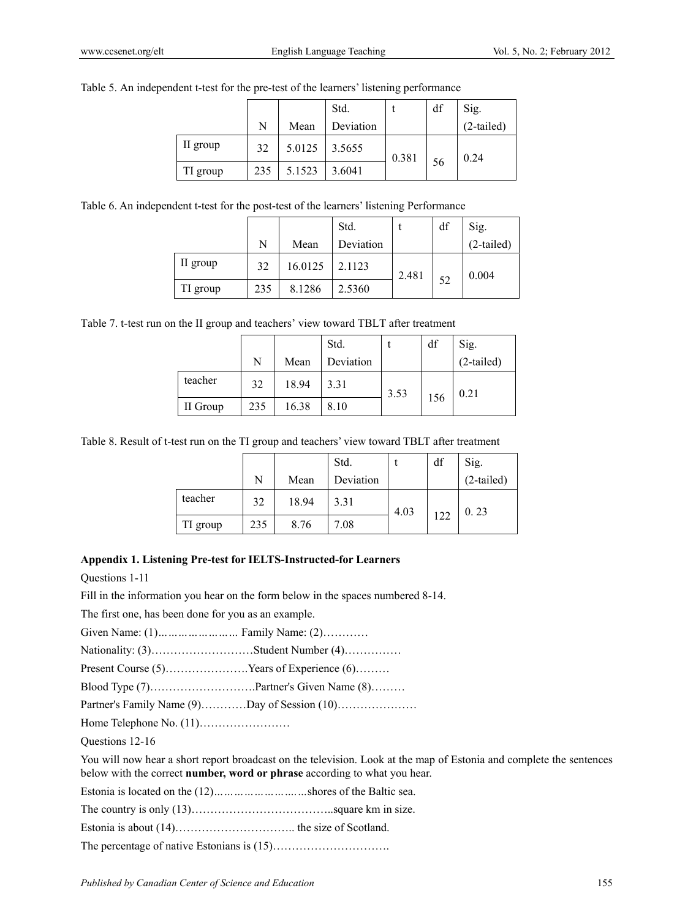|          |     |        | Std.      |       | df | Sig.         |
|----------|-----|--------|-----------|-------|----|--------------|
|          | N   | Mean   | Deviation |       |    | $(2-tailed)$ |
| Il group | 32  | 5.0125 | 3.5655    | 0.381 | 56 | 0.24         |
| TI group | 235 | 5.1523 | 3.6041    |       |    |              |

# Table 5. An independent t-test for the pre-test of the learners' listening performance

Table 6. An independent t-test for the post-test of the learners' listening Performance

|          |     |         | Std.      |       | df | Sig.         |
|----------|-----|---------|-----------|-------|----|--------------|
|          | N   | Mean    | Deviation |       |    | $(2-tailed)$ |
| II group | 32  | 16.0125 | 2.1123    | 2.481 | 52 | 0.004        |
| TI group | 235 | 8.1286  | 2.5360    |       |    |              |

Table 7. t-test run on the II group and teachers' view toward TBLT after treatment

|          |     |       | Std.      |      | df  | Sig.         |
|----------|-----|-------|-----------|------|-----|--------------|
|          | N   | Mean  | Deviation |      |     | $(2-tailed)$ |
| teacher  | 32  | 18.94 | 3.31      | 3.53 |     | 0.21         |
| II Group | 235 | 16.38 | 8.10      |      | 156 |              |

Table 8. Result of t-test run on the TI group and teachers' view toward TBLT after treatment

|          |     |       | Std.      |      | df  | Sig.       |
|----------|-----|-------|-----------|------|-----|------------|
|          | N   | Mean  | Deviation |      |     | (2-tailed) |
| teacher  | 32  | 18.94 | 3.31      | 4.03 | 122 | 0.23       |
| TI group | 235 | 8.76  | 7.08      |      |     |            |

# **Appendix 1. Listening Pre-test for IELTS-Instructed-for Learners**

Questions 1-11

Fill in the information you hear on the form below in the spaces numbered 8-14.

The first one, has been done for you as an example.

Given Name: (1)*……………………* Family Name: (2)…………

Nationality: (3)………………………Student Number (4)……………

Present Course (5)………………….Years of Experience (6)………

Blood Type (7)……………………….Partner's Given Name (8)………

Partner's Family Name (9)…………Day of Session (10)…………………

Home Telephone No. (11)……………………

Questions 12-16

You will now hear a short report broadcast on the television. Look at the map of Estonia and complete the sentences below with the correct **number, word or phrase** according to what you hear.

Estonia is located on the (12)*…………………….…*shores of the Baltic sea.

The country is only  $(13)$ ………………………………………………square km in size.

Estonia is about (14)………………………….. the size of Scotland.

The percentage of native Estonians is (15)………………………….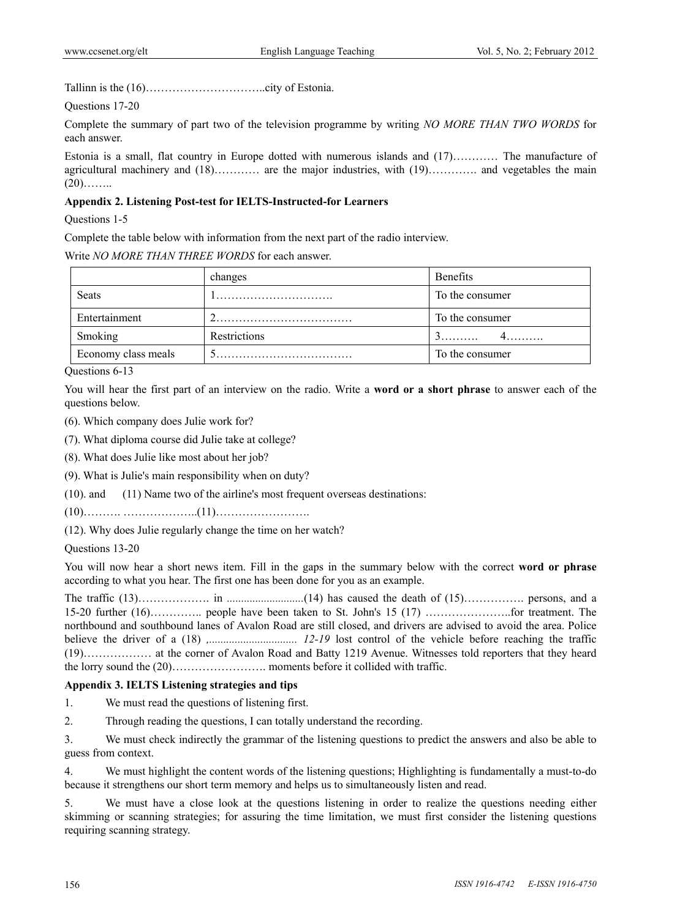Tallinn is the (16)…………………………..city of Estonia.

Questions 17-20

Complete the summary of part two of the television programme by writing *NO MORE THAN TWO WORDS* for each answer.

Estonia is a small, flat country in Europe dotted with numerous islands and (17)………… The manufacture of agricultural machinery and (18)………… are the major industries, with (19)…………. and vegetables the main  $(20)$ ……

# **Appendix 2. Listening Post-test for IELTS-Instructed-for Learners**

Questions 1-5

Complete the table below with information from the next part of the radio interview.

Write *NO MORE THAN THREE WORDS* for each answer.

|                     | changes      | <b>Benefits</b> |
|---------------------|--------------|-----------------|
| Seats               |              | To the consumer |
| Entertainment       |              | To the consumer |
| Smoking             | Restrictions |                 |
| Economy class meals |              | To the consumer |

Questions 6-13

You will hear the first part of an interview on the radio. Write a **word or a short phrase** to answer each of the questions below.

- (6). Which company does Julie work for?
- (7). What diploma course did Julie take at college?
- (8). What does Julie like most about her job?
- (9). What is Julie's main responsibility when on duty?
- (10). and (11) Name two of the airline's most frequent overseas destinations:

(10)………. ………………..(11)…………………….

(12). Why does Julie regularly change the time on her watch?

Questions 13-20

You will now hear a short news item. Fill in the gaps in the summary below with the correct **word or phrase**  according to what you hear. The first one has been done for you as an example.

The traffic (13)………………. in *...........................*(14) has caused the death of (15)……………. persons, and a 15-20 further (16)………….. people have been taken to St. John's 15 (17) …………………..for treatment. The northbound and southbound lanes of Avalon Road are still closed, and drivers are advised to avoid the area. Police believe the driver of a (18) *,................................* 12-19 lost control of the vehicle before reaching the traffic (19)……………… at the corner of Avalon Road and Batty 1219 Avenue. Witnesses told reporters that they heard the lorry sound the (20)……………………. moments before it collided with traffic.

## **Appendix 3. IELTS Listening strategies and tips**

- 1. We must read the questions of listening first.
- 2. Through reading the questions, I can totally understand the recording.

3. We must check indirectly the grammar of the listening questions to predict the answers and also be able to guess from context.

4. We must highlight the content words of the listening questions; Highlighting is fundamentally a must-to-do because it strengthens our short term memory and helps us to simultaneously listen and read.

5. We must have a close look at the questions listening in order to realize the questions needing either skimming or scanning strategies; for assuring the time limitation, we must first consider the listening questions requiring scanning strategy.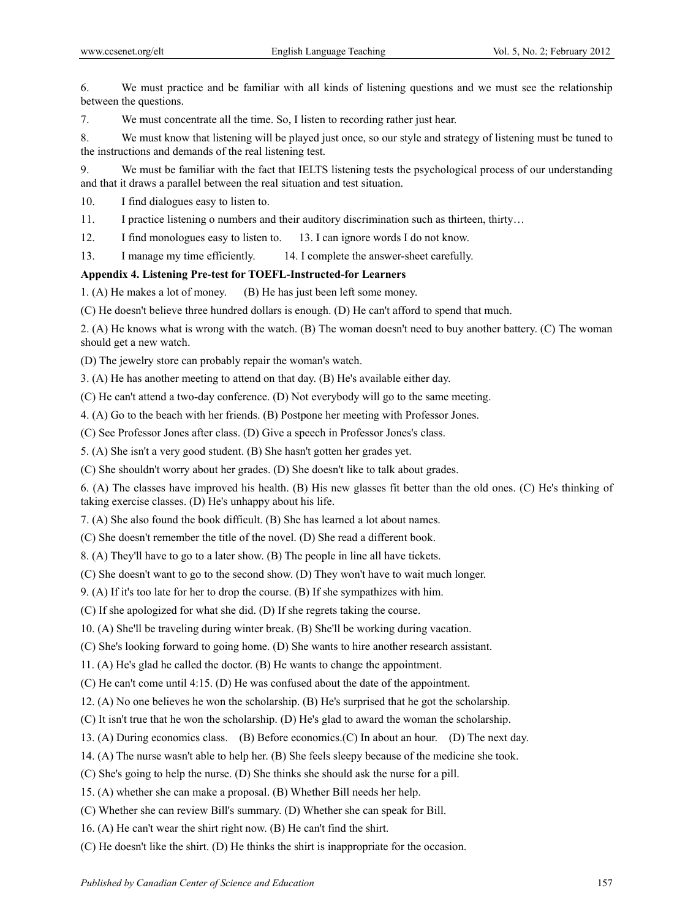6. We must practice and be familiar with all kinds of listening questions and we must see the relationship between the questions.

7. We must concentrate all the time. So, I listen to recording rather just hear.

8. We must know that listening will be played just once, so our style and strategy of listening must be tuned to the instructions and demands of the real listening test.

9. We must be familiar with the fact that IELTS listening tests the psychological process of our understanding and that it draws a parallel between the real situation and test situation.

10. I find dialogues easy to listen to.

- 11. I practice listening o numbers and their auditory discrimination such as thirteen, thirty…
- 12. I find monologues easy to listen to. 13. I can ignore words I do not know.
- 13. I manage my time efficiently. 14. I complete the answer-sheet carefully.

#### **Appendix 4. Listening Pre-test for TOEFL-Instructed-for Learners**

1. (A) He makes a lot of money. (B) He has just been left some money.

(C) He doesn't believe three hundred dollars is enough. (D) He can't afford to spend that much.

2. (A) He knows what is wrong with the watch. (B) The woman doesn't need to buy another battery. (C) The woman should get a new watch.

(D) The jewelry store can probably repair the woman's watch.

3. (A) He has another meeting to attend on that day. (B) He's available either day.

(C) He can't attend a two-day conference. (D) Not everybody will go to the same meeting.

4. (A) Go to the beach with her friends. (B) Postpone her meeting with Professor Jones.

(C) See Professor Jones after class. (D) Give a speech in Professor Jones's class.

5. (A) She isn't a very good student. (B) She hasn't gotten her grades yet.

(C) She shouldn't worry about her grades. (D) She doesn't like to talk about grades.

6. (A) The classes have improved his health. (B) His new glasses fit better than the old ones. (C) He's thinking of taking exercise classes. (D) He's unhappy about his life.

7. (A) She also found the book difficult. (B) She has learned a lot about names.

(C) She doesn't remember the title of the novel. (D) She read a different book.

8. (A) They'll have to go to a later show. (B) The people in line all have tickets.

(C) She doesn't want to go to the second show. (D) They won't have to wait much longer.

9. (A) If it's too late for her to drop the course. (B) If she sympathizes with him.

(C) If she apologized for what she did. (D) If she regrets taking the course.

10. (A) She'll be traveling during winter break. (B) She'll be working during vacation.

(C) She's looking forward to going home. (D) She wants to hire another research assistant.

11. (A) He's glad he called the doctor. (B) He wants to change the appointment.

(C) He can't come until 4:15. (D) He was confused about the date of the appointment.

12. (A) No one believes he won the scholarship. (B) He's surprised that he got the scholarship.

(C) It isn't true that he won the scholarship. (D) He's glad to award the woman the scholarship.

13. (A) During economics class. (B) Before economics.(C) In about an hour. (D) The next day.

14. (A) The nurse wasn't able to help her. (B) She feels sleepy because of the medicine she took.

(C) She's going to help the nurse. (D) She thinks she should ask the nurse for a pill.

15. (A) whether she can make a proposal. (B) Whether Bill needs her help.

(C) Whether she can review Bill's summary. (D) Whether she can speak for Bill.

- 16. (A) He can't wear the shirt right now. (B) He can't find the shirt.
- (C) He doesn't like the shirt. (D) He thinks the shirt is inappropriate for the occasion.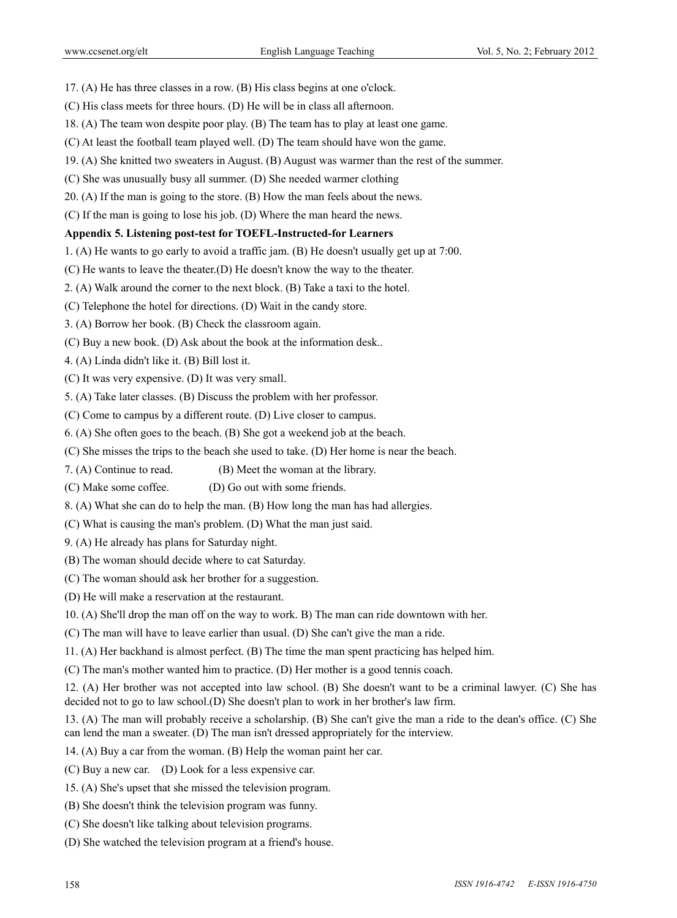- 17. (A) He has three classes in a row. (B) His class begins at one o'clock.
- (C) His class meets for three hours. (D) He will be in class all afternoon.
- 18. (A) The team won despite poor play. (B) The team has to play at least one game.
- (C) At least the football team played well. (D) The team should have won the game.
- 19. (A) She knitted two sweaters in August. (B) August was warmer than the rest of the summer.
- (C) She was unusually busy all summer. (D) She needed warmer clothing
- 20. (A) If the man is going to the store. (B) How the man feels about the news.
- (C) If the man is going to lose his job. (D) Where the man heard the news.

## **Appendix 5. Listening post-test for TOEFL-Instructed-for Learners**

- 1. (A) He wants to go early to avoid a traffic jam. (B) He doesn't usually get up at 7:00.
- (C) He wants to leave the theater.(D) He doesn't know the way to the theater.
- 2. (A) Walk around the corner to the next block. (B) Take a taxi to the hotel.
- (C) Telephone the hotel for directions. (D) Wait in the candy store.
- 3. (A) Borrow her book. (B) Check the classroom again.
- (C) Buy a new book. (D) Ask about the book at the information desk..
- 4. (A) Linda didn't like it. (B) Bill lost it.
- (C) It was very expensive. (D) It was very small.
- 5. (A) Take later classes. (B) Discuss the problem with her professor.
- (C) Come to campus by a different route. (D) Live closer to campus.
- 6. (A) She often goes to the beach. (B) She got a weekend job at the beach.
- (C) She misses the trips to the beach she used to take. (D) Her home is near the beach.
- 7. (A) Continue to read. (B) Meet the woman at the library.
- (C) Make some coffee. (D) Go out with some friends.
- 8. (A) What she can do to help the man. (B) How long the man has had allergies.
- (C) What is causing the man's problem. (D) What the man just said.
- 9. (A) He already has plans for Saturday night.
- (B) The woman should decide where to cat Saturday.
- (C) The woman should ask her brother for a suggestion.
- (D) He will make a reservation at the restaurant.
- 10. (A) She'll drop the man off on the way to work. B) The man can ride downtown with her.
- (C) The man will have to leave earlier than usual. (D) She can't give the man a ride.
- 11. (A) Her backhand is almost perfect. (B) The time the man spent practicing has helped him.
- (C) The man's mother wanted him to practice. (D) Her mother is a good tennis coach.

12. (A) Her brother was not accepted into law school. (B) She doesn't want to be a criminal lawyer. (C) She has decided not to go to law school.(D) She doesn't plan to work in her brother's law firm.

13. (A) The man will probably receive a scholarship. (B) She can't give the man a ride to the dean's office. (C) She can lend the man a sweater. (D) The man isn't dressed appropriately for the interview.

- 14. (A) Buy a car from the woman. (B) Help the woman paint her car.
- (C) Buy a new car. (D) Look for a less expensive car.
- 15. (A) She's upset that she missed the television program.
- (B) She doesn't think the television program was funny.
- (C) She doesn't like talking about television programs.
- (D) She watched the television program at a friend's house.